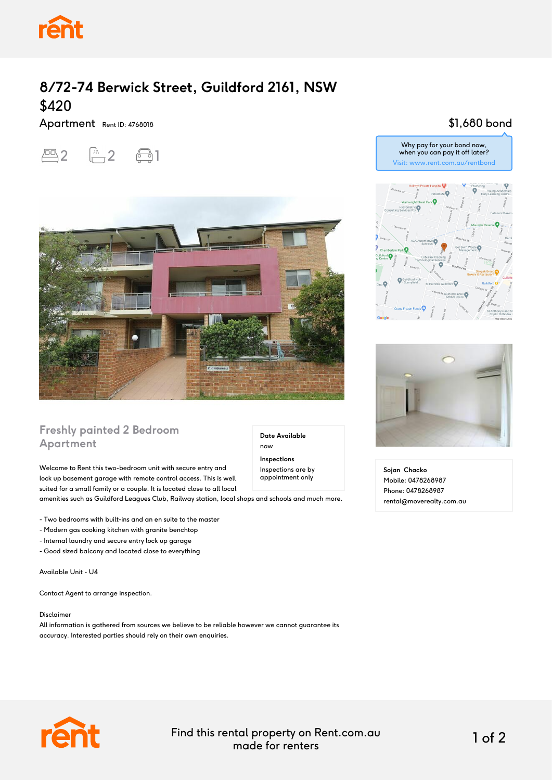

# **8/72-74 Berwick Street, Guildford 2161, NSW** \$420

### Apartment Rent ID: 4768018





## **Freshly painted 2 Bedroom Apartment**

Welcome to Rent this two-bedroom unit with secure entry and lock up basement garage with remote control access. This is well suited for a small family or a couple. It is located close to all local amenities such as Guildford Leagues Club, Railway station, local shops and schools and much more.

- Two bedrooms with built-ins and an en suite to the master

- Modern gas cooking kitchen with granite benchtop
- Internal laundry and secure entry lock up garage

- Good sized balcony and located close to everything

Available Unit - U4

Contact Agent to arrange inspection.

#### Disclaimer

All information is gathered from sources we believe to be reliable however we cannot guarantee its accuracy. Interested parties should rely on their own enquiries.

## \$1,680 bond

Why pay for your bond now, when you can pay it off later? Visit: www.rent.com.au/rentbond





**Sojan Chacko** Mobile: 0478268987 Phone: 0478268987 rental@moverealty.com.au



Find this rental property on Rent.com.au made for renters 1 of 2

**Date Available**

now **Inspections** Inspections are by appointment only